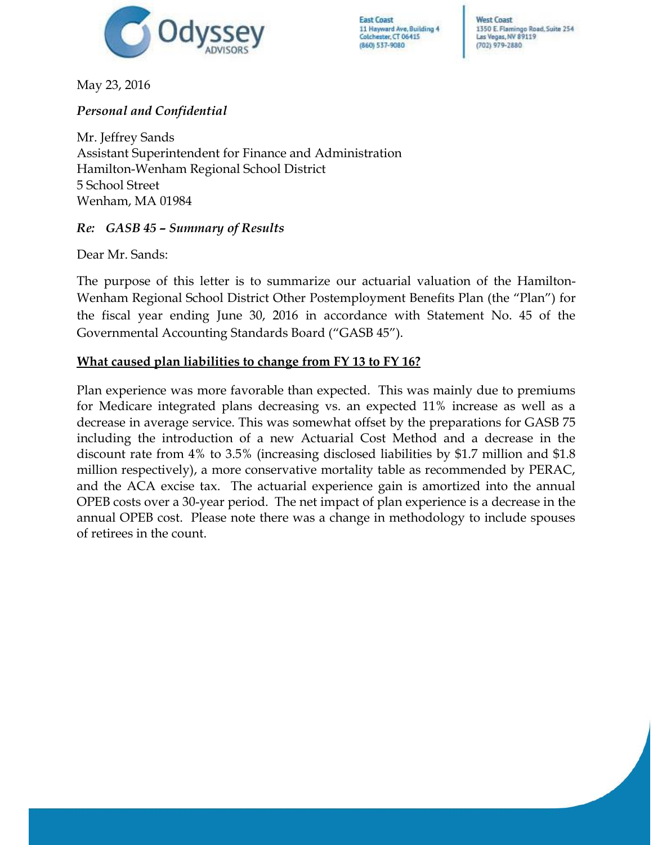

**West Coast** 1350 E. Flamingo Road, Suite 254 Las Vegas, NV 89119 (702) 979-2880

May 23, 2016

# *Personal and Confidential*

Mr. Jeffrey Sands Assistant Superintendent for Finance and Administration Hamilton-Wenham Regional School District 5 School Street Wenham, MA 01984

#### *Re: GASB 45 – Summary of Results*

Dear Mr. Sands:

The purpose of this letter is to summarize our actuarial valuation of the Hamilton-Wenham Regional School District Other Postemployment Benefits Plan (the "Plan") for the fiscal year ending June 30, 2016 in accordance with Statement No. 45 of the Governmental Accounting Standards Board ("GASB 45").

## **What caused plan liabilities to change from FY 13 to FY 16?**

Plan experience was more favorable than expected. This was mainly due to premiums for Medicare integrated plans decreasing vs. an expected 11% increase as well as a decrease in average service. This was somewhat offset by the preparations for GASB 75 including the introduction of a new Actuarial Cost Method and a decrease in the discount rate from 4% to 3.5% (increasing disclosed liabilities by \$1.7 million and \$1.8 million respectively), a more conservative mortality table as recommended by PERAC, and the ACA excise tax. The actuarial experience gain is amortized into the annual OPEB costs over a 30-year period. The net impact of plan experience is a decrease in the annual OPEB cost. Please note there was a change in methodology to include spouses of retirees in the count.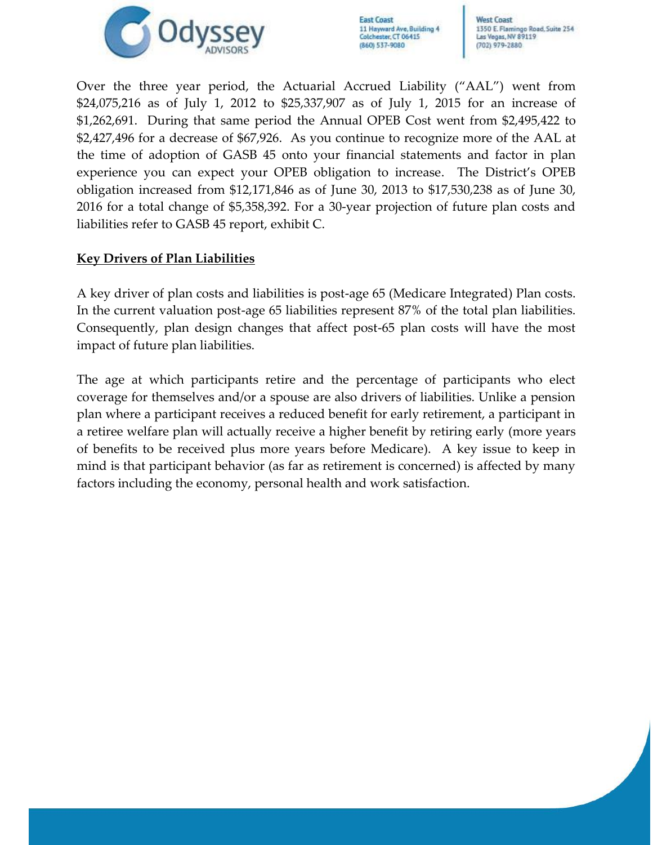

**West Coast** 1350 E. Flamingo Road, Suite 254 Las Vegas, NV 89119 (702) 979-2880

Over the three year period, the Actuarial Accrued Liability ("AAL") went from \$24,075,216 as of July 1, 2012 to \$25,337,907 as of July 1, 2015 for an increase of \$1,262,691. During that same period the Annual OPEB Cost went from \$2,495,422 to \$2,427,496 for a decrease of \$67,926. As you continue to recognize more of the AAL at the time of adoption of GASB 45 onto your financial statements and factor in plan experience you can expect your OPEB obligation to increase. The District's OPEB obligation increased from \$12,171,846 as of June 30, 2013 to \$17,530,238 as of June 30, 2016 for a total change of \$5,358,392. For a 30-year projection of future plan costs and liabilities refer to GASB 45 report, exhibit C.

## **Key Drivers of Plan Liabilities**

A key driver of plan costs and liabilities is post-age 65 (Medicare Integrated) Plan costs. In the current valuation post-age 65 liabilities represent 87% of the total plan liabilities. Consequently, plan design changes that affect post-65 plan costs will have the most impact of future plan liabilities.

The age at which participants retire and the percentage of participants who elect coverage for themselves and/or a spouse are also drivers of liabilities. Unlike a pension plan where a participant receives a reduced benefit for early retirement, a participant in a retiree welfare plan will actually receive a higher benefit by retiring early (more years of benefits to be received plus more years before Medicare). A key issue to keep in mind is that participant behavior (as far as retirement is concerned) is affected by many factors including the economy, personal health and work satisfaction.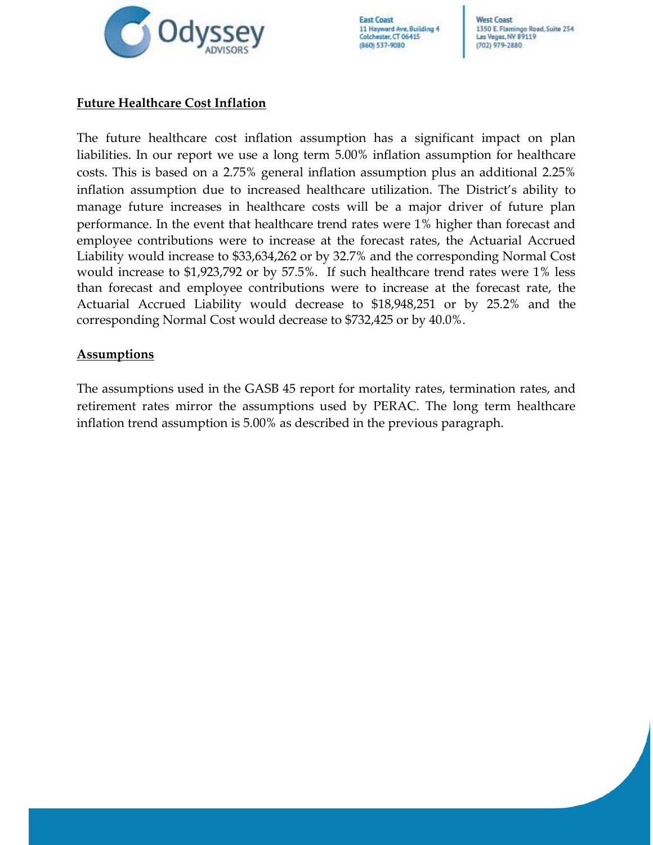

**West Coast** 1350 E. Flamingo Road, Suite 254 Las Vegas, NV 89119 (702) 979-2880

# **Future Healthcare Cost Inflation**

The future healthcare cost inflation assumption has a significant impact on plan liabilities. In our report we use a long term 5.00% inflation assumption for healthcare costs. This is based on a 2.75% general inflation assumption plus an additional 2.25% inflation assumption due to increased healthcare utilization. The District's ability to manage future increases in healthcare costs will be a major driver of future plan performance. In the event that healthcare trend rates were 1% higher than forecast and employee contributions were to increase at the forecast rates, the Actuarial Accrued Liability would increase to \$33,634,262 or by 32.7% and the corresponding Normal Cost would increase to \$1,923,792 or by 57.5%. If such healthcare trend rates were 1% less than forecast and employee contributions were to increase at the forecast rate, the Actuarial Accrued Liability would decrease to \$18,948,251 or by 25.2% and the corresponding Normal Cost would decrease to \$732,425 or by 40.0%.

#### **Assumptions**

The assumptions used in the GASB 45 report for mortality rates, termination rates, and retirement rates mirror the assumptions used by PERAC. The long term healthcare inflation trend assumption is 5.00% as described in the previous paragraph.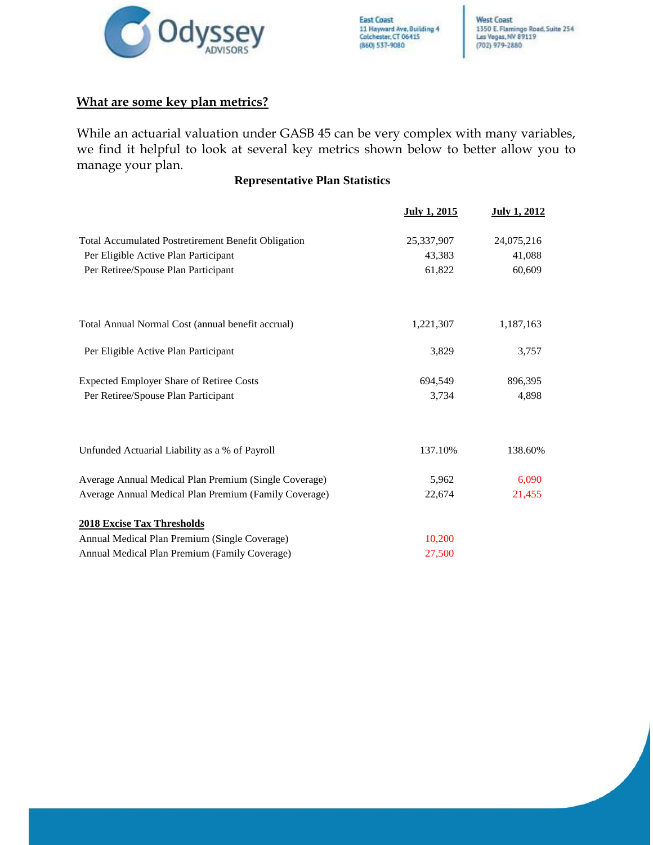

### **What are some key plan metrics?**

While an actuarial valuation under GASB 45 can be very complex with many variables, we find it helpful to look at several key metrics shown below to better allow you to manage your plan.

#### **Representative Plan Statistics**

|                                                            | July 1, 2015 | July 1, 2012 |
|------------------------------------------------------------|--------------|--------------|
| <b>Total Accumulated Postretirement Benefit Obligation</b> | 25,337,907   | 24,075,216   |
| Per Eligible Active Plan Participant                       | 43,383       | 41,088       |
| Per Retiree/Spouse Plan Participant                        | 61,822       | 60,609       |
| Total Annual Normal Cost (annual benefit accrual)          | 1,221,307    | 1,187,163    |
| Per Eligible Active Plan Participant                       | 3,829        | 3,757        |
| <b>Expected Employer Share of Retiree Costs</b>            | 694,549      | 896,395      |
| Per Retiree/Spouse Plan Participant                        | 3,734        | 4.898        |
| Unfunded Actuarial Liability as a % of Payroll             | 137.10%      | 138.60%      |
| Average Annual Medical Plan Premium (Single Coverage)      | 5,962        | 6,090        |
| Average Annual Medical Plan Premium (Family Coverage)      | 22,674       | 21,455       |
| <b>2018 Excise Tax Thresholds</b>                          |              |              |
| Annual Medical Plan Premium (Single Coverage)              | 10,200       |              |
| Annual Medical Plan Premium (Family Coverage)              | 27,500       |              |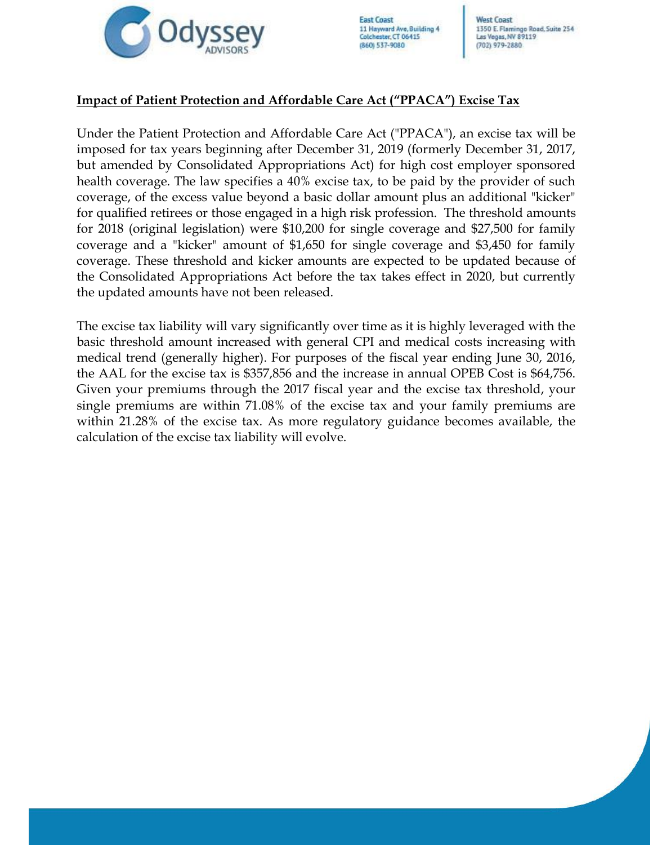

**West Coast** 1350 E. Flamingo Road, Suite 254 Las Vegas, NV 89119  $(702)$  979-2880

#### **Impact of Patient Protection and Affordable Care Act ("PPACA") Excise Tax**

Under the Patient Protection and Affordable Care Act ("PPACA"), an excise tax will be imposed for tax years beginning after December 31, 2019 (formerly December 31, 2017, but amended by Consolidated Appropriations Act) for high cost employer sponsored health coverage. The law specifies a 40% excise tax, to be paid by the provider of such coverage, of the excess value beyond a basic dollar amount plus an additional "kicker" for qualified retirees or those engaged in a high risk profession. The threshold amounts for 2018 (original legislation) were \$10,200 for single coverage and \$27,500 for family coverage and a "kicker" amount of \$1,650 for single coverage and \$3,450 for family coverage. These threshold and kicker amounts are expected to be updated because of the Consolidated Appropriations Act before the tax takes effect in 2020, but currently the updated amounts have not been released.

The excise tax liability will vary significantly over time as it is highly leveraged with the basic threshold amount increased with general CPI and medical costs increasing with medical trend (generally higher). For purposes of the fiscal year ending June 30, 2016, the AAL for the excise tax is \$357,856 and the increase in annual OPEB Cost is \$64,756. Given your premiums through the 2017 fiscal year and the excise tax threshold, your single premiums are within 71.08% of the excise tax and your family premiums are within 21.28% of the excise tax. As more regulatory guidance becomes available, the calculation of the excise tax liability will evolve.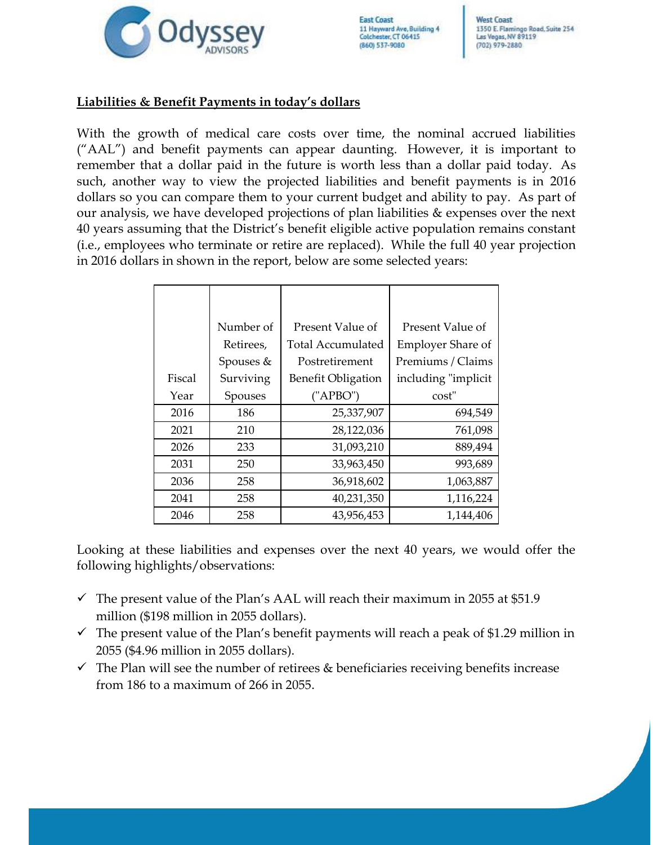

**West Coast** 1350 E. Flamingo Road, Suite 254 Las Vegas, NV 89119 (702) 979-2880

## **Liabilities & Benefit Payments in today's dollars**

With the growth of medical care costs over time, the nominal accrued liabilities ("AAL") and benefit payments can appear daunting. However, it is important to remember that a dollar paid in the future is worth less than a dollar paid today. As such, another way to view the projected liabilities and benefit payments is in 2016 dollars so you can compare them to your current budget and ability to pay. As part of our analysis, we have developed projections of plan liabilities & expenses over the next 40 years assuming that the District's benefit eligible active population remains constant (i.e., employees who terminate or retire are replaced). While the full 40 year projection in 2016 dollars in shown in the report, below are some selected years:

|        | Number of | Present Value of          | Present Value of         |
|--------|-----------|---------------------------|--------------------------|
|        | Retirees, | Total Accumulated         | <b>Employer Share of</b> |
|        | Spouses & | Postretirement            | Premiums / Claims        |
| Fiscal | Surviving | <b>Benefit Obligation</b> | including "implicit      |
| Year   | Spouses   | ('APBO")                  | cost"                    |
| 2016   | 186       | 25,337,907                | 694,549                  |
| 2021   | 210       | 28,122,036                | 761,098                  |
| 2026   | 233       | 31,093,210                | 889,494                  |
| 2031   | 250       | 33,963,450                | 993,689                  |
| 2036   | 258       | 36,918,602                | 1,063,887                |
| 2041   | 258       | 40,231,350                | 1,116,224                |
| 2046   | 258       | 43,956,453                | 1,144,406                |

Looking at these liabilities and expenses over the next 40 years, we would offer the following highlights/observations:

- $\checkmark$  The present value of the Plan's AAL will reach their maximum in 2055 at \$51.9 million (\$198 million in 2055 dollars).
- $\checkmark$  The present value of the Plan's benefit payments will reach a peak of \$1.29 million in 2055 (\$4.96 million in 2055 dollars).
- $\checkmark$  The Plan will see the number of retirees & beneficiaries receiving benefits increase from 186 to a maximum of 266 in 2055.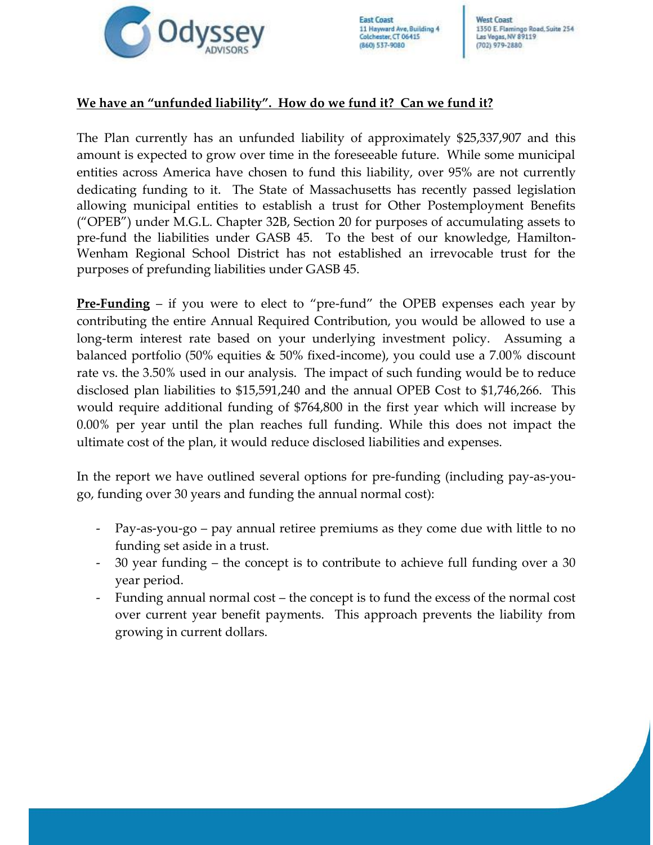

**West Coast** 1350 E. Flamingo Road, Suite 254 Las Vegas, NV 89119  $(702)$  979-2880

# **We have an "unfunded liability". How do we fund it? Can we fund it?**

The Plan currently has an unfunded liability of approximately \$25,337,907 and this amount is expected to grow over time in the foreseeable future. While some municipal entities across America have chosen to fund this liability, over 95% are not currently dedicating funding to it. The State of Massachusetts has recently passed legislation allowing municipal entities to establish a trust for Other Postemployment Benefits ("OPEB") under M.G.L. Chapter 32B, Section 20 for purposes of accumulating assets to pre-fund the liabilities under GASB 45. To the best of our knowledge, Hamilton-Wenham Regional School District has not established an irrevocable trust for the purposes of prefunding liabilities under GASB 45.

**Pre-Funding** – if you were to elect to "pre-fund" the OPEB expenses each year by contributing the entire Annual Required Contribution, you would be allowed to use a long-term interest rate based on your underlying investment policy. Assuming a balanced portfolio (50% equities & 50% fixed-income), you could use a 7.00% discount rate vs. the 3.50% used in our analysis. The impact of such funding would be to reduce disclosed plan liabilities to \$15,591,240 and the annual OPEB Cost to \$1,746,266. This would require additional funding of \$764,800 in the first year which will increase by 0.00% per year until the plan reaches full funding. While this does not impact the ultimate cost of the plan, it would reduce disclosed liabilities and expenses.

In the report we have outlined several options for pre-funding (including pay-as-yougo, funding over 30 years and funding the annual normal cost):

- Pay-as-you-go pay annual retiree premiums as they come due with little to no funding set aside in a trust.
- 30 year funding the concept is to contribute to achieve full funding over a 30 year period.
- Funding annual normal cost the concept is to fund the excess of the normal cost over current year benefit payments. This approach prevents the liability from growing in current dollars.